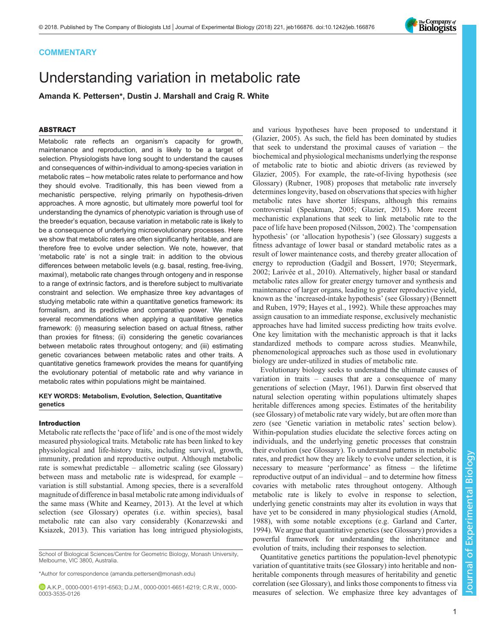# **COMMENTARY**

# Understanding variation in metabolic rate

Amanda K. Pettersen\*, Dustin J. Marshall and Craig R. White

# ABSTRACT

Metabolic rate reflects an organism's capacity for growth, maintenance and reproduction, and is likely to be a target of selection. Physiologists have long sought to understand the causes and consequences of within-individual to among-species variation in metabolic rates – how metabolic rates relate to performance and how they should evolve. Traditionally, this has been viewed from a mechanistic perspective, relying primarily on hypothesis-driven approaches. A more agnostic, but ultimately more powerful tool for understanding the dynamics of phenotypic variation is through use of the breeder's equation, because variation in metabolic rate is likely to be a consequence of underlying microevolutionary processes. Here we show that metabolic rates are often significantly heritable, and are therefore free to evolve under selection. We note, however, that 'metabolic rate' is not a single trait: in addition to the obvious differences between metabolic levels (e.g. basal, resting, free-living, maximal), metabolic rate changes through ontogeny and in response to a range of extrinsic factors, and is therefore subject to multivariate constraint and selection. We emphasize three key advantages of studying metabolic rate within a quantitative genetics framework: its formalism, and its predictive and comparative power. We make several recommendations when applying a quantitative genetics framework: (i) measuring selection based on actual fitness, rather than proxies for fitness; (ii) considering the genetic covariances between metabolic rates throughout ontogeny; and (iii) estimating genetic covariances between metabolic rates and other traits. A quantitative genetics framework provides the means for quantifying the evolutionary potential of metabolic rate and why variance in metabolic rates within populations might be maintained.

## KEY WORDS: Metabolism, Evolution, Selection, Quantitative genetics

## Introduction

Metabolic rate reflects the 'pace of life' and is one of the most widely measured physiological traits. Metabolic rate has been linked to key physiological and life-history traits, including survival, growth, immunity, predation and reproductive output. Although metabolic rate is somewhat predictable – allometric scaling (see Glossary) between mass and metabolic rate is widespread, for example – variation is still substantial. Among species, there is a severalfold magnitude of difference in basal metabolic rate among individuals of the same mass [\(White and Kearney, 2013\)](#page-8-0). At the level at which selection (see Glossary) operates (i.e. within species), basal metabolic rate can also vary considerably ([Konarzewski and](#page-7-0) [Ksiazek, 2013\)](#page-7-0). This variation has long intrigued physiologists,

School of Biological Sciences/Centre for Geometric Biology, Monash University, Melbourne, VIC 3800, Australia.

\*Author for correspondence [\(amanda.pettersen@monash.edu](mailto:amanda.pettersen@monash.edu))

A.K.P., [0000-0001-6191-6563;](http://orcid.org/0000-0001-6191-6563) D.J.M., [0000-0001-6651-6219](http://orcid.org/0000-0001-6651-6219); C.R.W., [0000-](http://orcid.org/0000-0003-3535-0126) [0003-3535-0126](http://orcid.org/0000-0003-3535-0126)

and various hypotheses have been proposed to understand it [\(Glazier, 2005](#page-7-0)). As such, the field has been dominated by studies that seek to understand the proximal causes of variation – the biochemical and physiological mechanisms underlying the response of metabolic rate to biotic and abiotic drivers (as reviewed by [Glazier, 2005\)](#page-7-0). For example, the rate-of-living hypothesis (see Glossary) ([Rubner, 1908\)](#page-8-0) proposes that metabolic rate inversely determines longevity, based on observations that species with higher metabolic rates have shorter lifespans, although this remains controversial [\(Speakman, 2005;](#page-8-0) [Glazier, 2015](#page-7-0)). More recent mechanistic explanations that seek to link metabolic rate to the pace of life have been proposed ([Nilsson, 2002\)](#page-7-0). The 'compensation hypothesis' (or 'allocation hypothesis') (see Glossary) suggests a fitness advantage of lower basal or standard metabolic rates as a result of lower maintenance costs, and thereby greater allocation of energy to reproduction [\(Gadgil and Bossert, 1970;](#page-7-0) [Steyermark,](#page-8-0) [2002;](#page-8-0) [Larivée et al., 2010\)](#page-7-0). Alternatively, higher basal or standard metabolic rates allow for greater energy turnover and synthesis and maintenance of larger organs, leading to greater reproductive yield, known as the 'increased-intake hypothesis' (see Glossary) ([Bennett](#page-7-0) [and Ruben, 1979](#page-7-0); [Hayes et al., 1992\)](#page-7-0). While these approaches may assign causation to an immediate response, exclusively mechanistic approaches have had limited success predicting how traits evolve. One key limitation with the mechanistic approach is that it lacks standardized methods to compare across studies. Meanwhile, phenomenological approaches such as those used in evolutionary biology are under-utilized in studies of metabolic rate.

Evolutionary biology seeks to understand the ultimate causes of variation in traits – causes that are a consequence of many generations of selection [\(Mayr, 1961](#page-7-0)). Darwin first observed that natural selection operating within populations ultimately shapes heritable differences among species. Estimates of the heritability (see Glossary) of metabolic rate vary widely, but are often more than zero (see 'Genetic variation in metabolic rates' section below). Within-population studies elucidate the selective forces acting on individuals, and the underlying genetic processes that constrain their evolution (see Glossary). To understand patterns in metabolic rates, and predict how they are likely to evolve under selection, it is necessary to measure 'performance' as fitness – the lifetime reproductive output of an individual – and to determine how fitness covaries with metabolic rates throughout ontogeny. Although metabolic rate is likely to evolve in response to selection, underlying genetic constraints may alter its evolution in ways that have yet to be considered in many physiological studies ([Arnold,](#page-7-0) [1988\)](#page-7-0), with some notable exceptions (e.g. [Garland and Carter,](#page-7-0) [1994\)](#page-7-0). We argue that quantitative genetics (see Glossary) provides a powerful framework for understanding the inheritance and evolution of traits, including their responses to selection.

Quantitative genetics partitions the population-level phenotypic variation of quantitative traits (see Glossary) into heritable and nonheritable components through measures of heritability and genetic correlation (see Glossary), and links those components to fitness via measures of selection. We emphasize three key advantages of

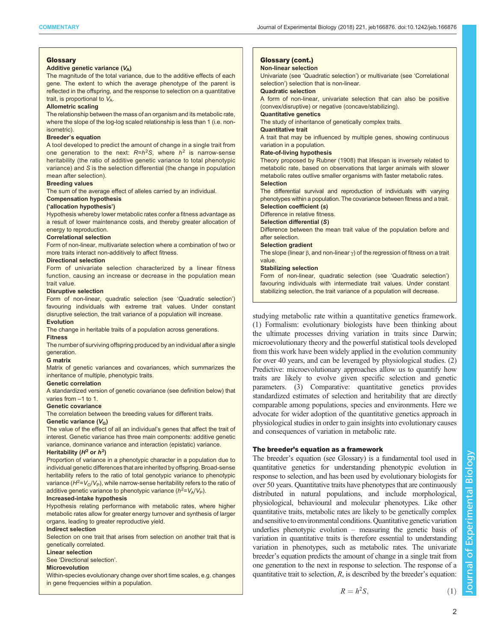# Glossary

# Additive genetic variance  $(V_A)$

The magnitude of the total variance, due to the additive effects of each gene. The extent to which the average phenotype of the parent is reflected in the offspring, and the response to selection on a quantitative trait, is proportional to  $V_{A}$ .

## Allometric scaling

The relationship between the mass of an organism and its metabolic rate, where the slope of the log-log scaled relationship is less than 1 (i.e. nonisometric).

## Breeder's equation

A tool developed to predict the amount of change in a single trait from one generation to the next:  $R=h^2S$ , where  $h^2$  is narrow-sense heritability (the ratio of additive genetic variance to total phenotypic variance) and S is the selection differential (the change in population mean after selection).

#### Breeding values

The sum of the average effect of alleles carried by an individual.

# Compensation hypothesis

# ('allocation hypothesis')

Hypothesis whereby lower metabolic rates confer a fitness advantage as a result of lower maintenance costs, and thereby greater allocation of energy to reproduction.

# Correlational selection

Form of non-linear, multivariate selection where a combination of two or more traits interact non-additively to affect fitness.

# Directional selection

Form of univariate selection characterized by a linear fitness function, causing an increase or decrease in the population mean trait value.

#### Disruptive selection

Form of non-linear, quadratic selection (see 'Quadratic selection') favouring individuals with extreme trait values. Under constant disruptive selection, the trait variance of a population will increase. Evolution

The change in heritable traits of a population across generations. Fitness

The number of surviving offspring produced by an individual after a single generation.

## G matrix

Matrix of genetic variances and covariances, which summarizes the inheritance of multiple, phenotypic traits.

# Genetic correlation

A standardized version of genetic covariance (see definition below) that varies from –1 to 1.

## Genetic covariance

The correlation between the breeding values for different traits.

# Genetic variance (V<sub>G</sub>)

The value of the effect of all an individual's genes that affect the trait of interest. Genetic variance has three main components: additive genetic variance, dominance variance and interaction (epistatic) variance.

# Heritability ( $H^2$  or  $h^2$ )

Proportion of variance in a phenotypic character in a population due to individual genetic differences that are inherited by offspring. Broad-sense heritability refers to the ratio of total genotypic variance to phenotypic variance ( $H^2$ = $V_{\rm G}/V_{\rm P}$ ), while narrow-sense heritability refers to the ratio of additive genetic variance to phenotypic variance  $(h^2 = V_A/V_P)$ .

## Increased-intake hypothesis

Hypothesis relating performance with metabolic rates, where higher metabolic rates allow for greater energy turnover and synthesis of larger organs, leading to greater reproductive yield.

#### Indirect selection

Selection on one trait that arises from selection on another trait that is genetically correlated.

#### Linear selection

See 'Directional selection'.

# Microevolution

Within-species evolutionary change over short time scales, e.g. changes in gene frequencies within a population.

### Glossary (cont.)

## Non-linear selection

Univariate (see 'Quadratic selection') or multivariate (see 'Correlational selection') selection that is non-linear.

#### Quadratic selection

A form of non-linear, univariate selection that can also be positive (convex/disruptive) or negative (concave/stabilizing).

# Quantitative genetics

The study of inheritance of genetically complex traits.

# Quantitative trait

A trait that may be influenced by multiple genes, showing continuous variation in a population.

#### Rate-of-living hypothesis

Theory proposed by [Rubner \(1908\)](#page-8-0) that lifespan is inversely related to metabolic rate, based on observations that larger animals with slower metabolic rates outlive smaller organisms with faster metabolic rates. Selection

The differential survival and reproduction of individuals with varying phenotypes within a population. The covariance between fitness and a trait. Selection coefficient (s)

# Difference in relative fitness.

Selection differential (S)

Difference between the mean trait value of the population before and after selection.

## Selection gradient

The slope (linear  $\beta$ , and non-linear  $\gamma$ ) of the regression of fitness on a trait value.

# Stabilizing selection

Form of non-linear, quadratic selection (see 'Quadratic selection') favouring individuals with intermediate trait values. Under constant stabilizing selection, the trait variance of a population will decrease.

studying metabolic rate within a quantitative genetics framework. (1) Formalism: evolutionary biologists have been thinking about the ultimate processes driving variation in traits since Darwin; microevolutionary theory and the powerful statistical tools developed from this work have been widely applied in the evolution community for over 40 years, and can be leveraged by physiological studies. (2) Predictive: microevolutionary approaches allow us to quantify how traits are likely to evolve given specific selection and genetic parameters. (3) Comparative: quantitative genetics provides standardized estimates of selection and heritability that are directly comparable among populations, species and environments. Here we advocate for wider adoption of the quantitative genetics approach in physiological studies in order to gain insights into evolutionary causes and consequences of variation in metabolic rate.

# The breeder's equation as a framework

The breeder's equation (see Glossary) is a fundamental tool used in quantitative genetics for understanding phenotypic evolution in response to selection, and has been used by evolutionary biologists for over 50 years. Quantitative traits have phenotypes that are continuously distributed in natural populations, and include morphological, physiological, behavioural and molecular phenotypes. Like other quantitative traits, metabolic rates are likely to be genetically complex and sensitive to environmental conditions. Quantitative genetic variation underlies phenotypic evolution – measuring the genetic basis of variation in quantitative traits is therefore essential to understanding variation in phenotypes, such as metabolic rates. The univariate breeder's equation predicts the amount of change in a single trait from one generation to the next in response to selection. The response of a quantitative trait to selection,  $R$ , is described by the breeder's equation: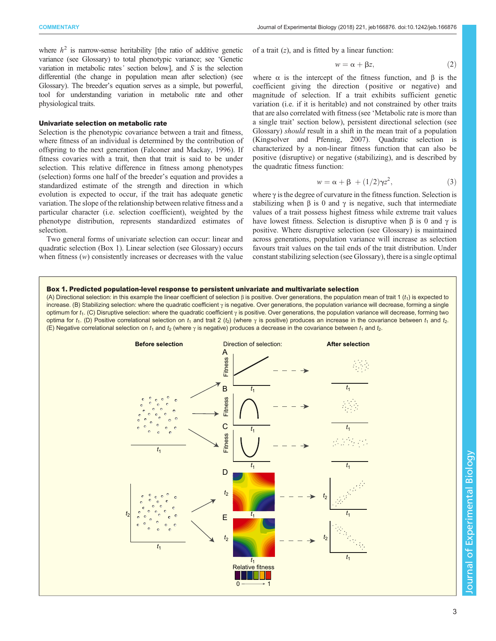where  $h^2$  is narrow-sense heritability [the ratio of additive genetic variance (see Glossary) to total phenotypic variance; see 'Genetic variation in metabolic rates' section below], and S is the selection differential (the change in population mean after selection) (see Glossary). The breeder's equation serves as a simple, but powerful, tool for understanding variation in metabolic rate and other physiological traits.

# Univariate selection on metabolic rate

Selection is the phenotypic covariance between a trait and fitness, where fitness of an individual is determined by the contribution of offspring to the next generation [\(Falconer and Mackay, 1996\)](#page-7-0). If fitness covaries with a trait, then that trait is said to be under selection. This relative difference in fitness among phenotypes (selection) forms one half of the breeder's equation and provides a standardized estimate of the strength and direction in which evolution is expected to occur, if the trait has adequate genetic variation. The slope of the relationship between relative fitness and a particular character (i.e. selection coefficient), weighted by the phenotype distribution, represents standardized estimates of selection.

Two general forms of univariate selection can occur: linear and quadratic selection (Box 1). Linear selection (see Glossary) occurs when fitness  $(w)$  consistently increases or decreases with the value

of a trait  $(z)$ , and is fitted by a linear function:

$$
w = \alpha + \beta z,\tag{2}
$$

where  $\alpha$  is the intercept of the fitness function, and  $\beta$  is the coefficient giving the direction ( positive or negative) and magnitude of selection. If a trait exhibits sufficient genetic variation (i.e. if it is heritable) and not constrained by other traits that are also correlated with fitness (see 'Metabolic rate is more than a single trait' section below), persistent directional selection (see Glossary) should result in a shift in the mean trait of a population [\(Kingsolver and Pfennig, 2007\)](#page-7-0). Quadratic selection is characterized by a non-linear fitness function that can also be positive (disruptive) or negative (stabilizing), and is described by the quadratic fitness function:

$$
w = \alpha + \beta + (1/2)\gamma z^2,
$$
 (3)

where  $\gamma$  is the degree of curvature in the fitness function. Selection is stabilizing when  $\beta$  is 0 and  $\gamma$  is negative, such that intermediate values of a trait possess highest fitness while extreme trait values have lowest fitness. Selection is disruptive when β is 0 and  $\gamma$  is positive. Where disruptive selection (see Glossary) is maintained across generations, population variance will increase as selection favours trait values on the tail ends of the trait distribution. Under constant stabilizing selection (see Glossary), there is a single optimal

# Box 1. Predicted population-level response to persistent univariate and multivariate selection

(A) Directional selection: in this example the linear coefficient of selection  $\beta$  is positive. Over generations, the population mean of trait 1 ( $t_1$ ) is expected to increase. (B) Stabilizing selection: where the quadratic coefficient γ is negative. Over generations, the population variance will decrease, forming a single optimum for  $t_1$ . (C) Disruptive selection: where the quadratic coefficient  $\gamma$  is positive. Over generations, the population variance will decrease, forming two optima for  $t_1$ . (D) Positive correlational selection on  $t_1$  and trait 2 ( $t_2$ ) (where  $\gamma$  is positive) produces an increase in the covariance between  $t_1$  and  $t_2$ . (E) Negative correlational selection on  $t_1$  and  $t_2$  (where  $\gamma$  is negative) produces a decrease in the covariance between  $t_1$  and  $t_2$ .

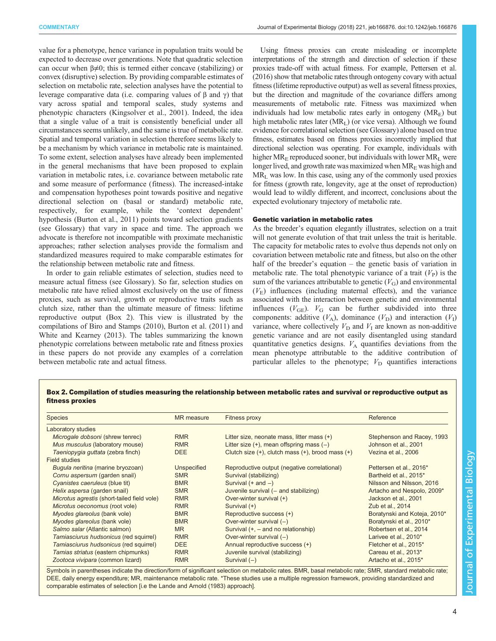value for a phenotype, hence variance in population traits would be expected to decrease over generations. Note that quadratic selection can occur when β≠0; this is termed either concave (stabilizing) or convex (disruptive) selection. By providing comparable estimates of selection on metabolic rate, selection analyses have the potential to leverage comparative data (i.e. comparing values of β and γ) that vary across spatial and temporal scales, study systems and phenotypic characters [\(Kingsolver et al., 2001](#page-7-0)). Indeed, the idea that a single value of a trait is consistently beneficial under all circumstances seems unlikely, and the same is true of metabolic rate. Spatial and temporal variation in selection therefore seems likely to be a mechanism by which variance in metabolic rate is maintained. To some extent, selection analyses have already been implemented in the general mechanisms that have been proposed to explain variation in metabolic rates, i.e. covariance between metabolic rate and some measure of performance (fitness). The increased-intake and compensation hypotheses point towards positive and negative directional selection on (basal or standard) metabolic rate, respectively, for example, while the 'context dependent' hypothesis ([Burton et al., 2011\)](#page-7-0) points toward selection gradients (see Glossary) that vary in space and time. The approach we advocate is therefore not incompatible with proximate mechanistic approaches; rather selection analyses provide the formalism and standardized measures required to make comparable estimates for the relationship between metabolic rate and fitness.

In order to gain reliable estimates of selection, studies need to measure actual fitness (see Glossary). So far, selection studies on metabolic rate have relied almost exclusively on the use of fitness proxies, such as survival, growth or reproductive traits such as clutch size, rather than the ultimate measure of fitness: lifetime reproductive output (Box 2). This view is illustrated by the compilations of [Biro and Stamps \(2010\)](#page-7-0), [Burton et al. \(2011\)](#page-7-0) and [White and Kearney \(2013\).](#page-8-0) The tables summarizing the known phenotypic correlations between metabolic rate and fitness proxies in these papers do not provide any examples of a correlation between metabolic rate and actual fitness.

Using fitness proxies can create misleading or incomplete interpretations of the strength and direction of selection if these proxies trade-off with actual fitness. For example, [Pettersen et al.](#page-8-0) [\(2016\)](#page-8-0) show that metabolic rates through ontogeny covary with actual fitness (lifetime reproductive output) as well as several fitness proxies, but the direction and magnitude of the covariance differs among measurements of metabolic rate. Fitness was maximized when individuals had low metabolic rates early in ontogeny  $(MR<sub>E</sub>)$  but high metabolic rates later  $(MR<sub>I</sub>)$  (or vice versa). Although we found evidence for correlational selection (see Glossary) alone based on true fitness, estimates based on fitness proxies incorrectly implied that directional selection was operating. For example, individuals with higher  $MR_E$  reproduced sooner, but individuals with lower  $MR_L$  were longer lived, and growth rate was maximized when  $MR_E$  was high and  $MR<sub>L</sub>$  was low. In this case, using any of the commonly used proxies for fitness (growth rate, longevity, age at the onset of reproduction) would lead to wildly different, and incorrect, conclusions about the expected evolutionary trajectory of metabolic rate.

# Genetic variation in metabolic rates

As the breeder's equation elegantly illustrates, selection on a trait will not generate evolution of that trait unless the trait is heritable. The capacity for metabolic rates to evolve thus depends not only on covariation between metabolic rate and fitness, but also on the other half of the breeder's equation – the genetic basis of variation in metabolic rate. The total phenotypic variance of a trait  $(V_P)$  is the sum of the variances attributable to genetic  $(V_G)$  and environmental  $(V<sub>E</sub>)$  influences (including maternal effects), and the variance associated with the interaction between genetic and environmental influences  $(V_{GE})$ .  $V_G$  can be further subdivided into three components: additive  $(V_A)$ , dominance  $(V_D)$  and interaction  $(V_I)$ variance, where collectively  $V_D$  and  $V_I$  are known as non-additive genetic variance and are not easily disentangled using standard quantitative genetics designs.  $V_A$  quantifies deviations from the mean phenotype attributable to the additive contribution of particular alleles to the phenotype;  $V_D$  quantifies interactions

Box 2. Compilation of studies measuring the relationship between metabolic rates and survival or reproductive output as fitness proxies

| MR measure         | <b>Fitness proxy</b>                                     | Reference                    |
|--------------------|----------------------------------------------------------|------------------------------|
|                    |                                                          |                              |
| <b>RMR</b>         | Litter size, neonate mass, litter mass (+)               | Stephenson and Racey, 1993   |
| <b>RMR</b>         | Litter size $(+)$ , mean offspring mass $(-)$            | Johnson et al., 2001         |
| <b>DEE</b>         | Clutch size $(+)$ , clutch mass $(+)$ , brood mass $(+)$ | Vezina et al., 2006          |
|                    |                                                          |                              |
| <b>Unspecified</b> | Reproductive output (negative correlational)             | Pettersen et al., 2016*      |
| <b>SMR</b>         | Survival (stabilizing)                                   | Bartheld et al., 2015*       |
| <b>BMR</b>         | Survival $(+$ and $-)$                                   | Nilsson and Nilsson, 2016    |
| <b>SMR</b>         | Juvenile survival (- and stabilizing)                    | Artacho and Nespolo, 2009*   |
| <b>RMR</b>         | Over-winter survival (+)                                 | Jackson et al., 2001         |
| <b>RMR</b>         | Survival (+)                                             | Zub et al., 2014             |
| <b>BMR</b>         | Reproductive success (+)                                 | Boratynski and Koteja, 2010* |
| <b>BMR</b>         | Over-winter survival $(-)$                               | Boratynski et al., 2010*     |
| <b>MR</b>          | Survival $(+, -$ and no relationship)                    | Robertsen et al., 2014       |
| <b>RMR</b>         | Over-winter survival $(-)$                               | Larivee et al., 2010*        |
| <b>DEE</b>         | Annual reproductive success (+)                          | Fletcher et al., 2015*       |
| <b>RMR</b>         | Juvenile survival (stabilizing)                          | Careau et al., 2013*         |
| <b>RMR</b>         | Survival $(-)$                                           | Artacho et al., 2015*        |
|                    |                                                          |                              |

Symbols in parentheses indicate the direction/form of significant selection on metabolic rates. BMR, basal metabolic rate; SMR, standard metabolic rate; DEE, daily energy expenditure; MR, maintenance metabolic rate. \*These studies use a multiple regression framework, providing standardized and comparable estimates of selection [i.e the [Lande and Arnold \(1983\)](#page-7-0) approach].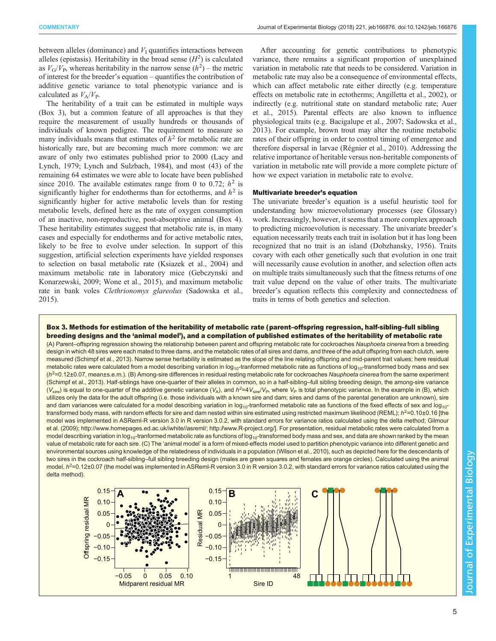between alleles (dominance) and  $V<sub>I</sub>$  quantifies interactions between alleles (epistasis). Heritability in the broad sense  $(H^2)$  is calculated as  $V_G/V_P$ , whereas heritability in the narrow sense  $(h^2)$  – the metric of interest for the breeder's equation – quantifies the contribution of additive genetic variance to total phenotypic variance and is calculated as  $V_A/V_P$ .

The heritability of a trait can be estimated in multiple ways (Box 3), but a common feature of all approaches is that they require the measurement of usually hundreds or thousands of individuals of known pedigree. The requirement to measure so many individuals means that estimates of  $h<sup>2</sup>$  for metabolic rate are historically rare, but are becoming much more common: we are aware of only two estimates published prior to 2000 ([Lacy and](#page-7-0) [Lynch, 1979](#page-7-0); [Lynch and Sulzbach, 1984\)](#page-7-0), and most (43) of the remaining 64 estimates we were able to locate have been published since 2010. The available estimates range from 0 to 0.72;  $h^2$  is significantly higher for endotherms than for ectotherms, and  $h^2$  is significantly higher for active metabolic levels than for resting metabolic levels, defined here as the rate of oxygen consumption of an inactive, non-reproductive, post-absorptive animal [\(Box 4\)](#page-5-0). These heritability estimates suggest that metabolic rate is, in many cases and especially for endotherms and for active metabolic rates, likely to be free to evolve under selection. In support of this suggestion, artificial selection experiments have yielded responses to selection on basal metabolic rate [\(Ksiazek et al., 2004\)](#page-7-0) and maximum metabolic rate in laboratory mice [\(Gebczynski and](#page-7-0) [Konarzewski, 2009](#page-7-0); [Wone et al., 2015](#page-8-0)), and maximum metabolic rate in bank voles Clethrionomys glareolus ([Sadowska et al.,](#page-8-0) [2015](#page-8-0)).

After accounting for genetic contributions to phenotypic variance, there remains a significant proportion of unexplained variation in metabolic rate that needs to be considered. Variation in metabolic rate may also be a consequence of environmental effects, which can affect metabolic rate either directly (e.g. temperature effects on metabolic rate in ectotherms; [Angilletta et al., 2002\)](#page-7-0), or indirectly (e.g. nutritional state on standard metabolic rate; [Auer](#page-7-0) [et al., 2015\)](#page-7-0). Parental effects are also known to influence physiological traits (e.g. [Bacigalupe et al., 2007;](#page-7-0) [Sadowska et al.,](#page-8-0) [2013\)](#page-8-0). For example, brown trout may alter the routine metabolic rates of their offspring in order to control timing of emergence and therefore dispersal in larvae [\(Régnier et al., 2010\)](#page-8-0). Addressing the relative importance of heritable versus non-heritable components of variation in metabolic rate will provide a more complete picture of how we expect variation in metabolic rate to evolve.

# Multivariate breeder's equation

The univariate breeder's equation is a useful heuristic tool for understanding how microevolutionary processes (see Glossary) work. Increasingly, however, it seems that a more complex approach to predicting microevolution is necessary. The univariate breeder's equation necessarily treats each trait in isolation but it has long been recognized that no trait is an island [\(Dobzhansky, 1956](#page-7-0)). Traits covary with each other genetically such that evolution in one trait will necessarily cause evolution in another, and selection often acts on multiple traits simultaneously such that the fitness returns of one trait value depend on the value of other traits. The multivariate breeder's equation reflects this complexity and connectedness of traits in terms of both genetics and selection.

# Box 3. Methods for estimation of the heritability of metabolic rate (parent–offspring regression, half-sibling–full sibling breeding designs and the 'animal model'), and a compilation of published estimates of the heritability of metabolic rate

(A) Parent–offspring regression showing the relationship between parent and offspring metabolic rate for cockroaches Nauphoeta cinerea from a breeding design in which 48 sires were each mated to three dams, and the metabolic rates of all sires and dams, and three of the adult offspring from each clutch, were measured ([Schimpf et al., 2013\)](#page-8-0). Narrow sense heritability is estimated as the slope of the line relating offspring and mid-parent trait values; here residual metabolic rates were calculated from a model describing variation in log<sub>10</sub>-tranformed metabolic rate as functions of log<sub>10</sub>-transformed body mass and sex  $(h^2=0.12\pm0.07$ , mean $\pm$ s.e.m.). (B) Among-sire differences in residual resting metabolic rate for cockroaches Nauphoeta cinerea from the same experiment ([Schimpf et al., 2013](#page-8-0)). Half-siblings have one-quarter of their alleles in common, so in a half-sibling–full sibling breeding design, the among-sire variance ( $V_{\sf sire}$ ) is equal to one-quarter of the additive genetic variance ( $V_A$ ), and  $h^2=4V_{\sf sire}/V_P$ , where  $V_P$  is total phenotypic variance. In the example in (B), which utilizes only the data for the adult offspring (i.e. those individuals with a known sire and dam; sires and dams of the parental generation are unknown), sire and dam variances were calculated for a model describing variation in  $log_{10}$ -tranformed metabolic rate as functions of the fixed effects of sex and  $log_{10}$ transformed body mass, with random effects for sire and dam nested within sire estimated using restricted maximum likelihood (REML);  $h^2$ =0.10±0.16 [the model was implemented in ASReml-R version 3.0 in R version 3.0.2, with standard errors for variance ratios calculated using the delta method; [Gilmour](#page-7-0) [et al. \(2009\)](#page-7-0); [http://www.homepages.ed.ac.uk/iwhite//asreml/;](http://www.homepages.ed.ac.uk/iwhite//asreml/)<http://www.R-project.org/>]. For presentation, residual metabolic rates were calculated from a model describing variation in log<sub>10</sub>-tranformed metabolic rate as functions of log<sub>10</sub>-transformed body mass and sex, and data are shown ranked by the mean value of metabolic rate for each sire. (C) The 'animal model' is a form of mixed-effects model used to partition phenotypic variance into different genetic and environmental sources using knowledge of the relatedness of individuals in a population ([Wilson et al., 2010](#page-8-0)), such as depicted here for the descendants of two sires in the cockroach half-sibling–full sibling breeding design (males are green squares and females are orange circles). Calculated using the animal model,  $h^2$ =0.12±0.07 (the model was implemented in ASReml-R version 3.0 in R version 3.0.2, with standard errors for variance ratios calculated using the delta method).

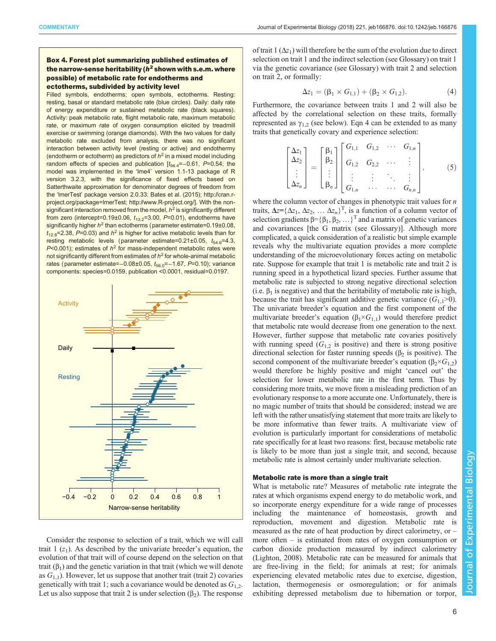# <span id="page-5-0"></span>Box 4. Forest plot summarizing published estimates of the narrow-sense heritability ( $h^2$  shown with s.e.m. where possible) of metabolic rate for endotherms and

# ectotherms, subdivided by activity level

Filled symbols, endotherms; open symbols, ectotherms. Resting: resting, basal or standard metabolic rate (blue circles). Daily: daily rate of energy expenditure or sustained metabolic rate (black squares). Activity: peak metabolic rate, flight metabolic rate, maximum metabolic rate, or maximum rate of oxygen consumption elicited by treadmill exercise or swimming (orange diamonds). With the two values for daily metabolic rate excluded from analysis, there was no significant interaction between activity level (resting or active) and endothermy (endotherm or ectotherm) as predictors of  $h^2$  in a mixed model including random effects of species and publication  $[t_{56.4}=-0.61, P=0.54;$  the model was implemented in the 'lme4' version 1.1-13 package of R version 3.2.3, with the significance of fixed effects based on Satterthwaite approximation for denominator degrees of freedom from the 'lmerTest' package version 2.0.33: [Bates et al. \(2015\)](#page-7-0); [http://cran.r](http://cran.r-project.org/package=lmerTest)[project.org/package=lmerTest](http://cran.r-project.org/package=lmerTest); [http://www.R-project.org/\]](http://www.R-project.org/). With the nonsignificant interaction removed from the model,  $h^2$  is significantly different from zero (intercept=0.19±0.06,  $t_{13.2}$ =3.00, P=0.01), endotherms have significantly higher  $h^2$  than ectotherms (parameter estimate=0.19 $\pm$ 0.08,  $t_{12.8}$ =2.38, P=0.03) and  $h^2$  is higher for active metabolic levels than for resting metabolic levels (parameter estimate= $0.21 \pm 0.05$ ,  $t_{54.6} = 4.3$ ,  $P$ <0.001); estimates of  $h^2$  for mass-independent metabolic rates were not significantly different from estimates of  $h^2$  for whole-animal metabolic rates (parameter estimate=−0.08±0.05, t<sub>56.0</sub>=−1.67, P=0.10); variance components: species=0.0159, publication <0.0001, residual=0.0197.



Consider the response to selection of a trait, which we will call trait 1  $(z_1)$ . As described by the univariate breeder's equation, the evolution of that trait will of course depend on the selection on that trait  $(β<sub>1</sub>)$  and the genetic variation in that trait (which we will denote as  $G_{1,1}$ ). However, let us suppose that another trait (trait 2) covaries genetically with trait 1; such a covariance would be denoted as  $G_{1,2}$ . Let us also suppose that trait 2 is under selection  $(\beta_2)$ . The response of trait 1  $(\Delta z_1)$  will therefore be the sum of the evolution due to direct selection on trait 1 and the indirect selection (see Glossary) on trait 1 via the genetic covariance (see Glossary) with trait 2 and selection on trait 2, or formally:

$$
\Delta z_1 = (\beta_1 \times G_{1,1}) + (\beta_2 \times G_{1,2}). \tag{4}
$$

Furthermore, the covariance between traits 1 and 2 will also be affected by the correlational selection on these traits, formally represented as  $\gamma_{1,2}$  (see below). Eqn 4 can be extended to as many traits that genetically covary and experience selection:

$$
\begin{bmatrix}\n\Delta z_1 \\
\Delta z_2 \\
\vdots \\
\Delta z_n\n\end{bmatrix} = \begin{bmatrix}\n\beta_1 \\
\beta_2 \\
\vdots \\
\beta_n\n\end{bmatrix} \begin{bmatrix}\nG_{1,1} & G_{1,2} & \cdots & G_{1,n} \\
G_{1,2} & G_{2,2} & \cdots & \vdots \\
\vdots & \vdots & \ddots & \vdots \\
G_{1,n} & \cdots & \cdots & G_{n,n}\n\end{bmatrix},
$$
\n(5)

where the column vector of changes in phenotypic trait values for  $n$ traits,  $\Delta z = {\Delta z_1, \Delta z_2, \ldots \Delta z_n}^T$ , is a function of a column vector of selection gradients  $\beta = {\beta_1, \beta_2, \dots}^T$  and a matrix of genetic variances and covariances [the G matrix (see Glossary)]. Although more complicated, a quick consideration of a realistic but simple example reveals why the multivariate equation provides a more complete understanding of the microevolutionary forces acting on metabolic rate. Suppose for example that trait 1 is metabolic rate and trait 2 is running speed in a hypothetical lizard species. Further assume that metabolic rate is subjected to strong negative directional selection (i.e.  $\beta_1$  is negative) and that the heritability of metabolic rate is high, because the trait has significant additive genetic variance  $(G_{1,1} > 0)$ . The univariate breeder's equation and the first component of the multivariate breeder's equation  $(\beta_1 \times G_{1,1})$  would therefore predict that metabolic rate would decrease from one generation to the next. However, further suppose that metabolic rate covaries positively with running speed  $(G_{1,2}$  is positive) and there is strong positive directional selection for faster running speeds ( $\beta_2$  is positive). The second component of the multivariate breeder's equation ( $\beta_2 \times G_{1,2}$ ) would therefore be highly positive and might 'cancel out' the selection for lower metabolic rate in the first term. Thus by considering more traits, we move from a misleading prediction of an evolutionary response to a more accurate one. Unfortunately, there is no magic number of traits that should be considered; instead we are left with the rather unsatisfying statement that more traits are likely to be more informative than fewer traits. A multivariate view of evolution is particularly important for considerations of metabolic rate specifically for at least two reasons: first, because metabolic rate is likely to be more than just a single trait, and second, because metabolic rate is almost certainly under multivariate selection.

# Metabolic rate is more than a single trait

What is metabolic rate? Measures of metabolic rate integrate the rates at which organisms expend energy to do metabolic work, and so incorporate energy expenditure for a wide range of processes including the maintenance of homeostasis, growth and reproduction, movement and digestion. Metabolic rate is measured as the rate of heat production by direct calorimetry, or – more often – is estimated from rates of oxygen consumption or carbon dioxide production measured by indirect calorimetry [\(Lighton, 2008\)](#page-7-0). Metabolic rate can be measured for animals that are free-living in the field; for animals at rest; for animals experiencing elevated metabolic rates due to exercise, digestion, lactation, thermogenesis or osmoregulation; or for animals exhibiting depressed metabolism due to hibernation or torpor,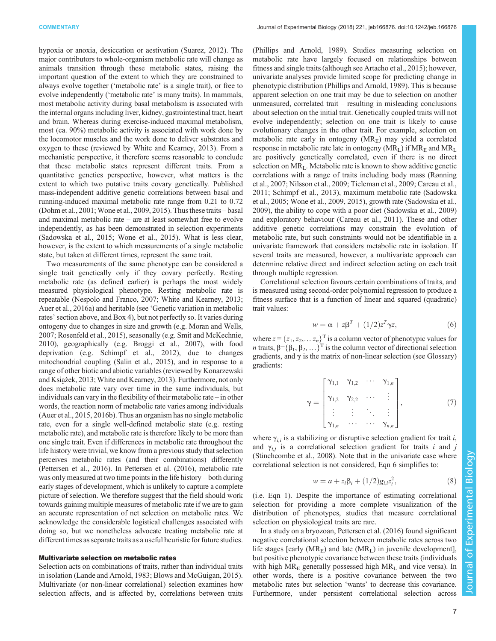hypoxia or anoxia, desiccation or aestivation ([Suarez, 2012](#page-8-0)). The major contributors to whole-organism metabolic rate will change as animals transition through these metabolic states, raising the important question of the extent to which they are constrained to always evolve together ('metabolic rate' is a single trait), or free to evolve independently ('metabolic rate' is many traits). In mammals, most metabolic activity during basal metabolism is associated with the internal organs including liver, kidney, gastrointestinal tract, heart and brain. Whereas during exercise-induced maximal metabolism, most (ca. 90%) metabolic activity is associated with work done by the locomotor muscles and the work done to deliver substrates and oxygen to these (reviewed by [White and Kearney, 2013\)](#page-8-0). From a mechanistic perspective, it therefore seems reasonable to conclude that these metabolic states represent different traits. From a quantitative genetics perspective, however, what matters is the extent to which two putative traits covary genetically. Published mass-independent additive genetic correlations between basal and running-induced maximal metabolic rate range from 0.21 to 0.72 [\(Dohm et al., 2001](#page-7-0); [Wone et al., 2009](#page-8-0), [2015\)](#page-8-0). Thus these traits – basal and maximal metabolic rate – are at least somewhat free to evolve independently, as has been demonstrated in selection experiments [\(Sadowska et al., 2015; Wone et al., 2015](#page-8-0)). What is less clear, however, is the extent to which measurements of a single metabolic state, but taken at different times, represent the same trait.

Two measurements of the same phenotype can be considered a single trait genetically only if they covary perfectly. Resting metabolic rate (as defined earlier) is perhaps the most widely measured physiological phenotype. Resting metabolic rate is repeatable [\(Nespolo and Franco, 2007](#page-7-0); [White and Kearney, 2013](#page-8-0); [Auer et al., 2016a](#page-7-0)) and heritable (see 'Genetic variation in metabolic rates'section above, and [Box 4](#page-5-0)), but not perfectly so. It varies during ontogeny due to changes in size and growth (e.g. [Moran and Wells,](#page-7-0) [2007;](#page-7-0) [Rosenfeld et al., 2015](#page-8-0)), seasonally (e.g. [Smit and McKechnie,](#page-8-0) [2010\)](#page-8-0), geographically (e.g. [Broggi et al., 2007](#page-7-0)), with food deprivation (e.g. [Schimpf et al., 2012](#page-8-0)), due to changes mitochondrial coupling ([Salin et al., 2015\)](#page-8-0), and in response to a range of other biotic and abiotic variables (reviewed by Konarzewski and Ksiażek, 2013; [White and Kearney, 2013](#page-8-0)). Furthermore, not only does metabolic rate vary over time in the same individuals, but individuals can vary in the flexibility of their metabolic rate – in other words, the reaction norm of metabolic rate varies among individuals [\(Auer et al., 2015, 2016b](#page-7-0)). Thus an organism has no single metabolic rate, even for a single well-defined metabolic state (e.g. resting metabolic rate), and metabolic rate is therefore likely to be more than one single trait. Even if differences in metabolic rate throughout the life history were trivial, we know from a previous study that selection perceives metabolic rates (and their combinations) differently [\(Pettersen et al., 2016](#page-8-0)). In [Pettersen et al. \(2016\),](#page-8-0) metabolic rate was only measured at two time points in the life history – both during early stages of development, which is unlikely to capture a complete picture of selection. We therefore suggest that the field should work towards gaining multiple measures of metabolic rate if we are to gain an accurate representation of net selection on metabolic rates. We acknowledge the considerable logistical challenges associated with doing so, but we nonetheless advocate treating metabolic rate at different times as separate traits as a useful heuristic for future studies.

## Multivariate selection on metabolic rates

Selection acts on combinations of traits, rather than individual traits in isolation [\(Lande and Arnold, 1983](#page-7-0); [Blows and McGuigan, 2015\)](#page-7-0). Multivariate (or non-linear correlational) selection examines how selection affects, and is affected by, correlations between traits [\(Phillips and Arnold, 1989](#page-8-0)). Studies measuring selection on metabolic rate have largely focused on relationships between fitness and single traits (although see [Artacho et al., 2015](#page-7-0)); however, univariate analyses provide limited scope for predicting change in phenotypic distribution ([Phillips and Arnold, 1989](#page-8-0)). This is because apparent selection on one trait may be due to selection on another unmeasured, correlated trait – resulting in misleading conclusions about selection on the initial trait. Genetically coupled traits will not evolve independently; selection on one trait is likely to cause evolutionary changes in the other trait. For example, selection on metabolic rate early in ontogeny  $(MR<sub>E</sub>)$  may yield a correlated response in metabolic rate late in ontogeny ( $MR<sub>L</sub>$ ) if  $MR<sub>E</sub>$  and  $MR<sub>L</sub>$ . are positively genetically correlated, even if there is no direct selection on  $MR<sub>L</sub>$ . Metabolic rate is known to show additive genetic correlations with a range of traits including body mass [\(Rønning](#page-8-0) [et al., 2007; Nilsson et al., 2009; Tieleman et al., 2009](#page-8-0); [Careau et al.,](#page-7-0) [2011;](#page-7-0) [Schimpf et al., 2013\)](#page-8-0), maximum metabolic rate ([Sadowska](#page-8-0) [et al., 2005; Wone et al., 2009, 2015](#page-8-0)), growth rate [\(Sadowska et al.,](#page-8-0) [2009\)](#page-8-0), the ability to cope with a poor diet [\(Sadowska et al., 2009\)](#page-8-0) and exploratory behaviour [\(Careau et al., 2011\)](#page-7-0). These and other additive genetic correlations may constrain the evolution of metabolic rate, but such constraints would not be identifiable in a univariate framework that considers metabolic rate in isolation. If several traits are measured, however, a multivariate approach can determine relative direct and indirect selection acting on each trait through multiple regression.

Correlational selection favours certain combinations of traits, and is measured using second-order polynomial regression to produce a fitness surface that is a function of linear and squared (quadratic) trait values:

$$
w = \alpha + z\beta^T + (1/2)z^T\gamma z,\tag{6}
$$

where  $z = \{z_1, z_2, \dots z_n\}^T$  is a column vector of phenotypic values for *n* traits,  $\beta = {\beta_1, \beta_2, \dots}^T$  is the column vector of directional selection gradients, and  $\gamma$  is the matrix of non-linear selection (see Glossary) gradients:

$$
\gamma = \begin{bmatrix} \gamma_{1,1} & \gamma_{1,2} & \cdots & \gamma_{1,n} \\ \gamma_{1,2} & \gamma_{2,2} & \cdots & \vdots \\ \vdots & \vdots & \ddots & \vdots \\ \gamma_{1,n} & \cdots & \cdots & \gamma_{n,n} \end{bmatrix},
$$
(7)

where  $\gamma_{i,i}$  is a stabilizing or disruptive selection gradient for trait *i*, and  $\gamma_{i,j}$  is a correlational selection gradient for traits i and j [\(Stinchcombe et al., 2008\)](#page-8-0). Note that in the univariate case where correlational selection is not considered, Eqn 6 simplifies to:

$$
w = a + z_i \beta_i + (1/2) g_{i,i} z_i^2, \tag{8}
$$

(i.e. Eqn 1). Despite the importance of estimating correlational selection for providing a more complete visualization of the distribution of phenotypes, studies that measure correlational selection on physiological traits are rare.

In a study on a bryozoan, [Pettersen et al. \(2016\)](#page-8-0) found significant negative correlational selection between metabolic rates across two life stages [early  $(MR<sub>F</sub>)$  and late  $(MR<sub>I</sub>)$  in juvenile development], but positive phenotypic covariance between these traits (individuals with high  $MR_E$  generally possessed high  $MR_L$  and vice versa). In other words, there is a positive covariance between the two metabolic rates but selection 'wants' to decrease this covariance. Furthermore, under persistent correlational selection across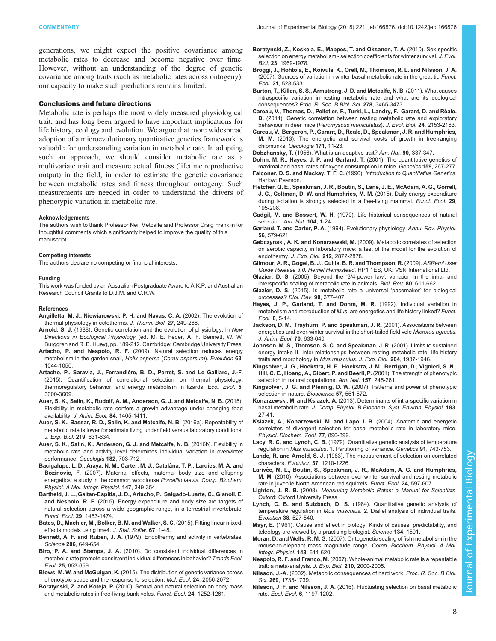<span id="page-7-0"></span>generations, we might expect the positive covariance among metabolic rates to decrease and become negative over time. However, without an understanding of the degree of genetic covariance among traits (such as metabolic rates across ontogeny), our capacity to make such predictions remains limited.

## Conclusions and future directions

Metabolic rate is perhaps the most widely measured physiological trait, and has long been argued to have important implications for life history, ecology and evolution. We argue that more widespread adoption of a microevolutionary quantitative genetics framework is valuable for understanding variation in metabolic rate. In adopting such an approach, we should consider metabolic rate as a multivariate trait and measure actual fitness (lifetime reproductive output) in the field, in order to estimate the genetic covariance between metabolic rates and fitness throughout ontogeny. Such measurements are needed in order to understand the drivers of phenotypic variation in metabolic rate.

#### Acknowledgements

The authors wish to thank Professor Neil Metcalfe and Professor Craig Franklin for thoughtful comments which significantly helped to improve the quality of this manuscript.

#### Competing interests

The authors declare no competing or financial interests.

#### Funding

This work was funded by an Australian Postgraduate Award to A.K.P. and Australian Research Council Grants to D.J.M. and C.R.W.

#### References

- [Angilletta, M. J., Niewiarowski, P. H. and Navas, C. A.](http://dx.doi.org/10.1016/S0306-4565(01)00094-8) (2002). The evolution of [thermal physiology in ectotherms.](http://dx.doi.org/10.1016/S0306-4565(01)00094-8) J. Therm. Biol. 27, 249-268.
- Arnold, S. J. (1988). Genetic correlation and the evolution of physiology. In New Directions in Ecological Physiology (ed. M. E. Feder, A. F. Bennett, W. W. Burggren and R. B. Huey), pp. 189-212. Cambridge: Cambridge University Press.
- Artacho, P. and Nespolo, R. F. [\(2009\). Natural selection reduces energy](http://dx.doi.org/10.1111/j.1558-5646.2008.00603.x) [metabolism in the garden snail,](http://dx.doi.org/10.1111/j.1558-5646.2008.00603.x) Helix aspersa (Cornu aspersum). Evolution 63, [1044-1050.](http://dx.doi.org/10.1111/j.1558-5646.2008.00603.x)
- Artacho, P., Saravia, J., Ferrandière, B. D., Perret, S. and Le Galliard, J.-F. [\(2015\). Quantification of correlational selection on thermal physiology,](http://dx.doi.org/10.1002/ece3.1548) [thermoregulatory behavior, and energy metabolism in lizards.](http://dx.doi.org/10.1002/ece3.1548) Ecol. Evol. 5, [3600-3609.](http://dx.doi.org/10.1002/ece3.1548)
- [Auer, S. K., Salin, K., Rudolf, A. M., Anderson, G. J. and Metcalfe, N. B.](http://dx.doi.org/10.1111/1365-2656.12384) (2015). [Flexibility in metabolic rate confers a growth advantage under changing food](http://dx.doi.org/10.1111/1365-2656.12384) availability. [J. Anim. Ecol.](http://dx.doi.org/10.1111/1365-2656.12384) 84, 1405-1411.
- [Auer, S. K., Bassar, R. D., Salin, K. and Metcalfe, N. B.](http://dx.doi.org/10.1242/jeb.133678) (2016a). Repeatability of [metabolic rate is lower for animals living under field versus laboratory conditions.](http://dx.doi.org/10.1242/jeb.133678) [J. Exp. Biol.](http://dx.doi.org/10.1242/jeb.133678) 219, 631-634.
- [Auer, S. K., Salin, K., Anderson, G. J. and Metcalfe, N. B.](http://dx.doi.org/10.1007/s00442-016-3697-z) (2016b). Flexibility in [metabolic rate and activity level determines individual variation in overwinter](http://dx.doi.org/10.1007/s00442-016-3697-z) [performance.](http://dx.doi.org/10.1007/s00442-016-3697-z) Oecologia 182, 703-712.
- Bacigalupe, L. D., Araya, N. M., Carter, M. J., Catalána, T. P., Lardies, M. A. and Bozinovic, F. [\(2007\). Maternal effects, maternal body size and offspring](http://dx.doi.org/10.1016/j.cbpa.2007.01.001) [energetics: a study in the common woodlouse](http://dx.doi.org/10.1016/j.cbpa.2007.01.001) Porcellio laevis. Comp. Biochem. [Physiol. A Mol. Integr. Physiol.](http://dx.doi.org/10.1016/j.cbpa.2007.01.001) 147, 349-354.
- [Bartheld, J. L., Gaitan-Espitia, J. D., Artacho, P., Salgado-Luarte, C., Gianoli, E.](http://dx.doi.org/10.1111/1365-2435.12451) and Nespolo, R. F. [\(2015\). Energy expenditure and body size are targets of](http://dx.doi.org/10.1111/1365-2435.12451) [natural selection across a wide geographic range, in a terrestrial invertebrate.](http://dx.doi.org/10.1111/1365-2435.12451) Funct. Ecol. 29[, 1463-1474.](http://dx.doi.org/10.1111/1365-2435.12451)
- [Bates, D., Machler, M., Bolker, B. M. and Walker, S. C.](http://dx.doi.org/10.18637/jss.v067.i01) (2015). Fitting linear mixed[effects models using lme4.](http://dx.doi.org/10.18637/jss.v067.i01) J. Stat. Softw. 67, 1-48.
- Bennett, A. F. and Ruben, J. A. [\(1979\). Endothermy and activity in vertebrates.](http://dx.doi.org/10.1126/science.493968) Science 206[, 649-654.](http://dx.doi.org/10.1126/science.493968)
- Biro, P. A. and Stamps, J. A. [\(2010\). Do consistent individual differences in](http://dx.doi.org/10.1016/j.tree.2010.08.003) [metabolic rate promote consistent individual differences in behavior?](http://dx.doi.org/10.1016/j.tree.2010.08.003) Trends Ecol. Evol. 25[, 653-659.](http://dx.doi.org/10.1016/j.tree.2010.08.003)
- Blows, M. W. and McGuigan, K. [\(2015\). The distribution of genetic variance across](http://dx.doi.org/10.1111/mec.13023) [phenotypic space and the response to selection.](http://dx.doi.org/10.1111/mec.13023) Mol. Ecol. 24, 2056-2072.
- Boratynski, Z. and Koteja, P. [\(2010\). Sexual and natural selection on body mass](http://dx.doi.org/10.1111/j.1365-2435.2010.01764.x) [and metabolic rates in free-living bank voles.](http://dx.doi.org/10.1111/j.1365-2435.2010.01764.x) Funct. Ecol. 24, 1252-1261.
- [Boratynski, Z., Koskela, E., Mappes, T. and Oksanen, T. A.](http://dx.doi.org/10.1111/j.1420-9101.2010.02059.x) (2010). Sex-specific [selection on energy metabolism - selection coefficients for winter survival.](http://dx.doi.org/10.1111/j.1420-9101.2010.02059.x) J. Evol. Biol. 23, [1969-1978.](http://dx.doi.org/10.1111/j.1420-9101.2010.02059.x)
- [Broggi, J., Hohtola, E., Koivula, K., Orell, M., Thomson, R. L. and Nilsson, J. A.](http://dx.doi.org/10.1111/j.1365-2435.2007.01255.x) [\(2007\). Sources of variation in winter basal metabolic rate in the great tit.](http://dx.doi.org/10.1111/j.1365-2435.2007.01255.x) Funct. Ecol. 21[, 528-533.](http://dx.doi.org/10.1111/j.1365-2435.2007.01255.x)
- [Burton, T., Killen, S. S., Armstrong, J. D. and Metcalfe, N. B.](http://dx.doi.org/10.1098/rspb.2011.1778) (2011). What causes [intraspecific variation in resting metabolic rate and what are its ecological](http://dx.doi.org/10.1098/rspb.2011.1778) consequences? [Proc. R. Soc. B Biol. Sci.](http://dx.doi.org/10.1098/rspb.2011.1778) 278, 3465-3473.
- [Careau, V., Thomas, D., Pelletier, F., Turki, L., Landry, F., Garant, D. and Re](http://dx.doi.org/10.1111/j.1420-9101.2011.02344.x)́ale, D. [\(2011\). Genetic correlation between resting metabolic rate and exploratory](http://dx.doi.org/10.1111/j.1420-9101.2011.02344.x) behaviour in deer mice ([Peromyscus maniculatus](http://dx.doi.org/10.1111/j.1420-9101.2011.02344.x)). J. Evol. Biol. 24, 2153-2163.
- [Careau, V., Bergeron, P., Garant, D., Reale, D., Speakman, J. R. and Humphries,](http://dx.doi.org/10.1007/s00442-012-2385-x) M. M. [\(2013\). The energetic and survival costs of growth in free-ranging](http://dx.doi.org/10.1007/s00442-012-2385-x) [chipmunks.](http://dx.doi.org/10.1007/s00442-012-2385-x) Oecologia 171, 11-23.
- Dobzhansky, T. [\(1956\). What is an adaptive trait?](http://dx.doi.org/10.1086/281944) Am. Nat. 90, 337-347.
- Dohm, M. R., Hayes, J. P. and Garland, T. (2001). The quantitative genetics of maximal and basal rates of oxygen consumption in mice. Genetics 159, 267-277.
- Falconer, D. S. and Mackay, T. F. C. (1996). Introduction to Quantitative Genetics. Harlow: Pearson.
- [Fletcher, Q. E., Speakman, J. R., Boutin, S., Lane, J. E., McAdam, A. G., Gorrell,](http://dx.doi.org/10.1111/1365-2435.12313) [J. C., Coltman, D. W. and Humphries, M. M.](http://dx.doi.org/10.1111/1365-2435.12313) (2015). Daily energy expenditure [during lactation is strongly selected in a free-living mammal.](http://dx.doi.org/10.1111/1365-2435.12313) Funct. Ecol. 29, [195-208.](http://dx.doi.org/10.1111/1365-2435.12313)
- Gadgil, M. and Bossert, W. H. [\(1970\). Life historical consequences of natural](http://dx.doi.org/10.1086/282637) [selection.](http://dx.doi.org/10.1086/282637) Am. Nat. 104, 1-24.
- Garland, T. and Carter, P. A. [\(1994\). Evolutionary physiology.](http://dx.doi.org/10.1146/annurev.ph.56.030194.003051) Annu. Rev. Physiol. 56[, 579-621.](http://dx.doi.org/10.1146/annurev.ph.56.030194.003051)
- [Gebczynski, A. K. and Konarzewski, M.](http://dx.doi.org/10.1242/jeb.030874) (2009). Metabolic correlates of selection [on aerobic capacity in laboratory mice: a test of the model for the evolution of](http://dx.doi.org/10.1242/jeb.030874) endothermy. J. Exp. Biol. 212[, 2872-2878.](http://dx.doi.org/10.1242/jeb.030874)
- Gilmour, A. R., Gogel, B. J., Cullis, B. R. and Thompson, R. (2009). ASReml User Guide Release 3.0. Hemel Hempstead, HP1 1ES, UK: VSN International Ltd.
- Glazier, D. S. (2005). Beyond the '3/4-power law'[: variation in the intra- and](http://dx.doi.org/10.1017/S1464793105006834) [interspecific scaling of metabolic rate in animals.](http://dx.doi.org/10.1017/S1464793105006834) Biol. Rev. 80, 611-662.
- Glazier, D. S. [\(2015\). Is metabolic rate a universal](http://dx.doi.org/10.1111/brv.12115) 'pacemaker' for biological [processes?](http://dx.doi.org/10.1111/brv.12115) Biol. Rev. 90, 377-407.
- [Hayes, J. P., Garland, T. and Dohm, M. R.](http://dx.doi.org/10.2307/2389765) (1992). Individual variation in metabolism and reproduction of Mus[: are energetics and life history linked?](http://dx.doi.org/10.2307/2389765) Funct. Ecol. 6[, 5-14.](http://dx.doi.org/10.2307/2389765)
- [Jackson, D. M., Trayhurn, P. and Speakman, J. R.](http://dx.doi.org/10.1046/j.1365-2656.2001.00518.x) (2001). Associations between [energetics and over-winter survival in the short-tailed field vole](http://dx.doi.org/10.1046/j.1365-2656.2001.00518.x) Microtus agrestis. [J. Anim. Ecol.](http://dx.doi.org/10.1046/j.1365-2656.2001.00518.x) 70, 633-640.
- Johnson, M. S., Thomson, S. C. and Speakman, J. R. (2001). Limits to sustained energy intake II. Inter-relationships between resting metabolic rate, life-history traits and morphology in Mus musculus. J. Exp. Biol. 204, 1937-1946.
- [Kingsolver, J. G., Hoekstra, H. E., Hoekstra, J. M., Berrigan, D., Vignieri, S. N.,](http://dx.doi.org/10.1086/319193) [Hill, C. E., Hoang, A., Gibert, P. and Beerli, P.](http://dx.doi.org/10.1086/319193) (2001). The strength of phenotypic [selection in natural populations.](http://dx.doi.org/10.1086/319193) Am. Nat. 157, 245-261.
- Kingsolver, J. G. and Pfennig, D. W. [\(2007\). Patterns and power of phenotypic](http://dx.doi.org/10.1641/B570706) [selection in nature.](http://dx.doi.org/10.1641/B570706) Bioscience 57, 561-572.
- Konarzewski, M. and Ksiazek, A. [\(2013\). Determinants of intra-specific variation in](http://dx.doi.org/10.1007/s00360-012-0698-z) basal metabolic rate. [J. Comp. Physiol. B Biochem. Syst. Environ. Physiol.](http://dx.doi.org/10.1007/s00360-012-0698-z) 183, [27-41.](http://dx.doi.org/10.1007/s00360-012-0698-z)
- [Ksiazek, A., Konarzewski, M. and Lapo, I. B.](http://dx.doi.org/10.1086/425190) (2004). Anatomic and energetic [correlates of divergent selection for basal metabolic rate in laboratory mice.](http://dx.doi.org/10.1086/425190) [Physiol. Biochem. Zool.](http://dx.doi.org/10.1086/425190) 77, 890-899.
- Lacy, R. C. and Lynch, C. B. (1979). Quantitative genetic analysis of temperature regulation in Mus musculus. 1. Partitioning of variance. Genetics 91, 743-753.
- Lande, R. and Arnold, S. J. [\(1983\). The measurement of selection on correlated](http://dx.doi.org/10.1111/j.1558-5646.1983.tb00236.x) characters. Evolution 37[, 1210-1226.](http://dx.doi.org/10.1111/j.1558-5646.1983.tb00236.x)
- Larivé[e, M. L., Boutin, S., Speakman, J. R., McAdam, A. G. and Humphries,](http://dx.doi.org/10.1111/j.1365-2435.2009.01680.x) M. M. [\(2010\). Associations between over-winter survival and resting metabolic](http://dx.doi.org/10.1111/j.1365-2435.2009.01680.x) [rate in juvenile North American red squirrels.](http://dx.doi.org/10.1111/j.1365-2435.2009.01680.x) Funct. Ecol. 24, 597-607.
- Lighton, J. R. B. (2008). Measuring Metabolic Rates: a Manual for Scientists. Oxford: Oxford University Press.
- Lynch, C. B. and Sulzbach, D. S. (1984). Quantitative genetic analysis of temperature regulation in Mus musculus. 2. Diallel analysis of individual traits. Evolution 38, 527-540.
- Mayr, E. [\(1961\). Cause and effect in biology. Kinds of causes, predictability, and](http://dx.doi.org/10.1126/science.134.3489.1501) [teleology are viewed by a practising biologist.](http://dx.doi.org/10.1126/science.134.3489.1501) Science 134, 1501.
- Moran, D. and Wells, R. M. G. [\(2007\). Ontogenetic scaling of fish metabolism in the](http://dx.doi.org/10.1016/j.cbpa.2007.08.006) [mouse-to-elephant mass magnitude range.](http://dx.doi.org/10.1016/j.cbpa.2007.08.006) Comp. Biochem. Physiol. A Mol. [Integr. Physiol.](http://dx.doi.org/10.1016/j.cbpa.2007.08.006) 148, 611-620.
- Nespolo, R. F. and Franco, M. [\(2007\). Whole-animal metabolic rate is a repeatable](http://dx.doi.org/10.1242/jeb.02780) [trait: a meta-analysis.](http://dx.doi.org/10.1242/jeb.02780) J. Exp. Biol. 210, 2000-2005.
- Nilsson, J.-A. [\(2002\). Metabolic consequences of hard work.](http://dx.doi.org/10.1098/rspb.2002.2071) Proc. R. Soc. B Biol. Sci. 269[, 1735-1739.](http://dx.doi.org/10.1098/rspb.2002.2071)
- Nilsson, J. F. and Nilsson, J. A. [\(2016\). Fluctuating selection on basal metabolic](http://dx.doi.org/10.1002/ece3.1954) rate. Ecol. Evol. 6[, 1197-1202.](http://dx.doi.org/10.1002/ece3.1954)

8

Biology